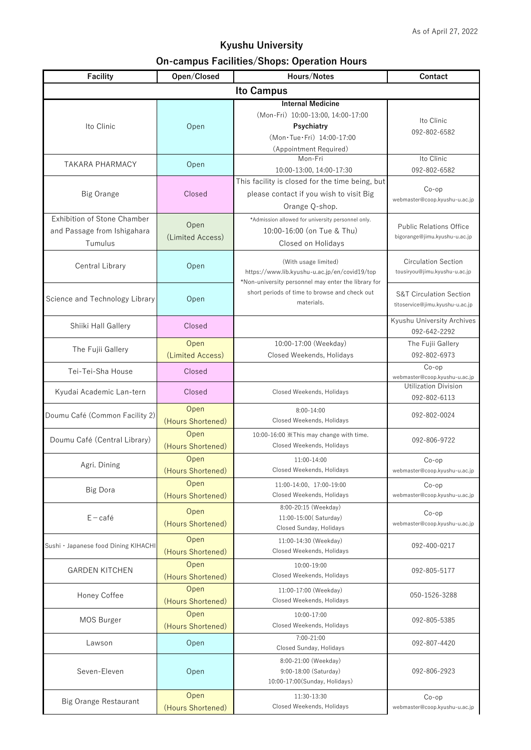## **Kyushu University On-campus Facilities/Shops: Operation Hours**

| <b>Facility</b>                                                       | Open/Closed               | Hours/Notes                                                                                                                         | <b>Contact</b>                                                        |  |  |
|-----------------------------------------------------------------------|---------------------------|-------------------------------------------------------------------------------------------------------------------------------------|-----------------------------------------------------------------------|--|--|
| <b>Ito Campus</b>                                                     |                           |                                                                                                                                     |                                                                       |  |  |
| Ito Clinic                                                            | Open                      | <b>Internal Medicine</b><br>(Mon-Fri) 10:00-13:00, 14:00-17:00<br>Psychiatry<br>(Mon·Tue·Fri) 14:00-17:00<br>(Appointment Required) | Ito Clinic<br>092-802-6582                                            |  |  |
| <b>TAKARA PHARMACY</b>                                                | Open                      | Mon-Fri<br>10:00-13:00, 14:00-17:30                                                                                                 | Ito Clinic<br>092-802-6582                                            |  |  |
| <b>Big Orange</b>                                                     | Closed                    | This facility is closed for the time being, but<br>please contact if you wish to visit Big<br>Orange Q-shop.                        | $Co$ -op<br>webmaster@coop.kyushu-u.ac.jp                             |  |  |
| Exhibition of Stone Chamber<br>and Passage from Ishigahara<br>Tumulus | Open<br>(Limited Access)  | *Admission allowed for university personnel only.<br>10:00-16:00 (on Tue & Thu)<br>Closed on Holidays                               | <b>Public Relations Office</b><br>bigorange@jimu.kyushu-u.ac.jp       |  |  |
| <b>Central Library</b>                                                | Open                      | (With usage limited)<br>https://www.lib.kyushu-u.ac.jp/en/covid19/top<br>*Non-university personnel may enter the library for        | <b>Circulation Section</b><br>tousiryou@jimu.kyushu-u.ac.jp           |  |  |
| Science and Technology Library                                        | Open                      | short periods of time to browse and check out<br>materials.                                                                         | <b>S&amp;T Circulation Section</b><br>titoservice@jimu.kyushu-u.ac.jp |  |  |
| Shiiki Hall Gallery                                                   | Closed                    |                                                                                                                                     | Kyushu University Archives<br>092-642-2292                            |  |  |
| The Fujii Gallery                                                     | Open<br>(Limited Access)  | 10:00-17:00 (Weekday)<br>Closed Weekends, Holidays                                                                                  | The Fujii Gallery<br>092-802-6973                                     |  |  |
| Tei-Tei-Sha House                                                     | Closed                    |                                                                                                                                     | $Co$ -op<br>webmaster@coop.kyushu-u.ac.jp                             |  |  |
| Kyudai Academic Lan-tern                                              | Closed                    | Closed Weekends, Holidays                                                                                                           | <b>Utilization Division</b><br>092-802-6113                           |  |  |
| Doumu Café (Common Facility 2)                                        | Open<br>(Hours Shortened) | $8:00-14:00$<br>Closed Weekends, Holidays                                                                                           | 092-802-0024                                                          |  |  |
| Doumu Café (Central Library)                                          | Open<br>(Hours Shortened) | 10:00-16:00 *This may change with time.<br>Closed Weekends, Holidays                                                                | 092-806-9722                                                          |  |  |
| Agri. Dining                                                          | Open<br>(Hours Shortened) | 11:00-14:00<br>Closed Weekends, Holidays                                                                                            | $Co$ -op<br>webmaster@coop.kyushu-u.ac.jp                             |  |  |
| <b>Big Dora</b>                                                       | Open<br>(Hours Shortened) | 11:00-14:00, 17:00-19:00<br>Closed Weekends, Holidays                                                                               | $Co$ -op<br>webmaster@coop.kyushu-u.ac.jp                             |  |  |
| $E - \text{café}$                                                     | Open<br>(Hours Shortened) | 8:00-20:15 (Weekday)<br>11:00-15:00 (Saturday)<br>Closed Sunday, Holidays                                                           | $Co$ -op<br>webmaster@coop.kyushu-u.ac.jp                             |  |  |
| Sushi · Japanese food Dining KIHACHI                                  | Open<br>(Hours Shortened) | 11:00-14:30 (Weekday)<br>Closed Weekends, Holidays                                                                                  | 092-400-0217                                                          |  |  |
| <b>GARDEN KITCHEN</b>                                                 | Open<br>(Hours Shortened) | 10:00-19:00<br>Closed Weekends, Holidays                                                                                            | 092-805-5177                                                          |  |  |
| Honey Coffee                                                          | Open<br>(Hours Shortened) | 11:00-17:00 (Weekday)<br>Closed Weekends, Holidays                                                                                  | 050-1526-3288                                                         |  |  |
| MOS Burger                                                            | Open<br>(Hours Shortened) | 10:00-17:00<br>Closed Weekends, Holidays                                                                                            | 092-805-5385                                                          |  |  |
| Lawson                                                                | Open                      | 7:00-21:00<br>Closed Sunday, Holidays                                                                                               | 092-807-4420                                                          |  |  |
| Seven-Eleven                                                          | Open                      | 8:00-21:00 (Weekday)<br>9:00-18:00 (Saturday)<br>10:00-17:00(Sunday, Holidays)                                                      | 092-806-2923                                                          |  |  |
| <b>Big Orange Restaurant</b>                                          | Open<br>(Hours Shortened) | 11:30-13:30<br>Closed Weekends, Holidays                                                                                            | $Co$ -op<br>webmaster@coop.kyushu-u.ac.jp                             |  |  |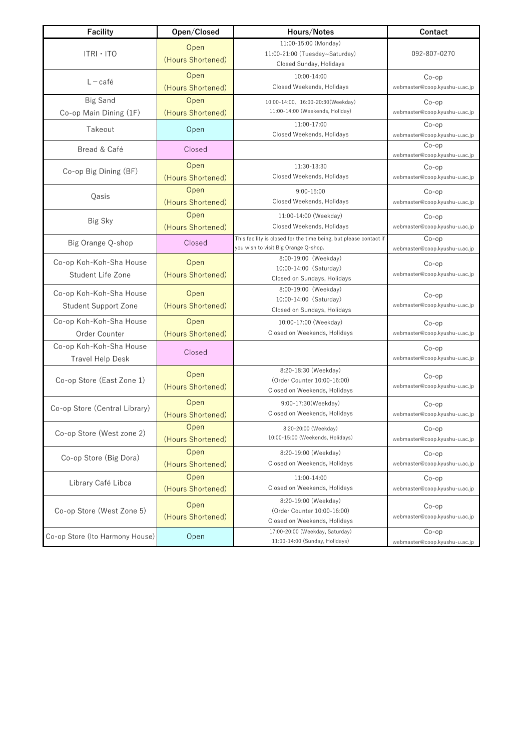| <b>Facility</b>                                        | Open/Closed               | Hours/Notes                                                                                               | <b>Contact</b>                            |
|--------------------------------------------------------|---------------------------|-----------------------------------------------------------------------------------------------------------|-------------------------------------------|
| $ITRI \cdot ITO$                                       | Open<br>(Hours Shortened) | 11:00-15:00 (Monday)<br>11:00-21:00 (Tuesday~Saturday)<br>Closed Sunday, Holidays                         | 092-807-0270                              |
| $L - \text{café}$                                      | Open<br>(Hours Shortened) | 10:00-14:00<br>Closed Weekends, Holidays                                                                  | $Co$ -op<br>webmaster@coop.kyushu-u.ac.jp |
| <b>Big Sand</b>                                        | Open                      | 10:00-14:00、16:00-20:30(Weekday)                                                                          | $Co$ -op                                  |
| Co-op Main Dining (1F)                                 | (Hours Shortened)         | 11:00-14:00 (Weekends, Holiday)                                                                           | webmaster@coop.kyushu-u.ac.jp             |
| Takeout                                                | Open                      | 11:00-17:00<br>Closed Weekends, Holidays                                                                  | $Co$ -op<br>webmaster@coop.kyushu-u.ac.jp |
| Bread & Café                                           | Closed                    |                                                                                                           | $Co$ -op<br>webmaster@coop.kyushu-u.ac.jp |
| Co-op Big Dining (BF)                                  | Open<br>(Hours Shortened) | 11:30-13:30<br>Closed Weekends, Holidays                                                                  | $Co$ -op<br>webmaster@coop.kyushu-u.ac.jp |
| Qasis                                                  | Open<br>(Hours Shortened) | $9:00 - 15:00$<br>Closed Weekends, Holidays                                                               | $Co$ -op<br>webmaster@coop.kyushu-u.ac.jp |
| Big Sky                                                | Open<br>(Hours Shortened) | 11:00-14:00 (Weekday)<br>Closed Weekends, Holidays                                                        | $Co$ -op<br>webmaster@coop.kyushu-u.ac.jp |
| Big Orange Q-shop                                      | Closed                    | This facility is closed for the time being, but please contact if<br>you wish to visit Big Orange Q-shop. | $Co$ -op<br>webmaster@coop.kyushu-u.ac.jp |
| Co-op Koh-Koh-Sha House<br>Student Life Zone           | Open<br>(Hours Shortened) | 8:00-19:00 (Weekday)<br>10:00-14:00 (Saturday)<br>Closed on Sundays, Holidays                             | $Co$ -op<br>webmaster@coop.kyushu-u.ac.jp |
| Co-op Koh-Koh-Sha House<br><b>Student Support Zone</b> | Open<br>(Hours Shortened) | 8:00-19:00 (Weekday)<br>10:00-14:00 (Saturday)<br>Closed on Sundays, Holidays                             | $Co$ -op<br>webmaster@coop.kyushu-u.ac.jp |
| Co-op Koh-Koh-Sha House<br>Order Counter               | Open<br>(Hours Shortened) | 10:00-17:00 (Weekday)<br>Closed on Weekends, Holidays                                                     | $Co$ -op<br>webmaster@coop.kyushu-u.ac.jp |
| Co-op Koh-Koh-Sha House<br><b>Travel Help Desk</b>     | Closed                    |                                                                                                           | $Co$ -op<br>webmaster@coop.kyushu-u.ac.jp |
| Co-op Store (East Zone 1)                              | Open<br>(Hours Shortened) | 8:20-18:30 (Weekday)<br>(Order Counter 10:00-16:00)<br>Closed on Weekends, Holidays                       | $Co$ -op<br>webmaster@coop.kyushu-u.ac.jp |
| Co-op Store (Central Library)                          | Open<br>(Hours Shortened) | 9:00-17:30 (Weekday)<br>Closed on Weekends, Holidays                                                      | $Co$ -op<br>webmaster@coop.kyushu-u.ac.jp |
| Co-op Store (West zone 2)                              | Open<br>(Hours Shortened) | 8:20-20:00 (Weekday)<br>10:00-15:00 (Weekends, Holidays)                                                  | $Co$ -op<br>webmaster@coop.kyushu-u.ac.jp |
| Co-op Store (Big Dora)                                 | Open<br>(Hours Shortened) | 8:20-19:00 (Weekday)<br>Closed on Weekends, Holidays                                                      | $Co$ -op<br>webmaster@coop.kyushu-u.ac.jp |
| Library Café Libca                                     | Open<br>(Hours Shortened) | 11:00-14:00<br>Closed on Weekends, Holidays                                                               | $Co$ -op<br>webmaster@coop.kyushu-u.ac.jp |
| Co-op Store (West Zone 5)                              | Open<br>(Hours Shortened) | 8:20-19:00 (Weekday)<br>(Order Counter 10:00-16:00)<br>Closed on Weekends, Holidays                       | $Co$ -op<br>webmaster@coop.kyushu-u.ac.jp |
| Co-op Store (Ito Harmony House)                        | Open                      | 17:00-20:00 (Weekday, Saturday)<br>11:00-14:00 (Sunday, Holidays)                                         | $Co$ -op<br>webmaster@coop.kyushu-u.ac.jp |